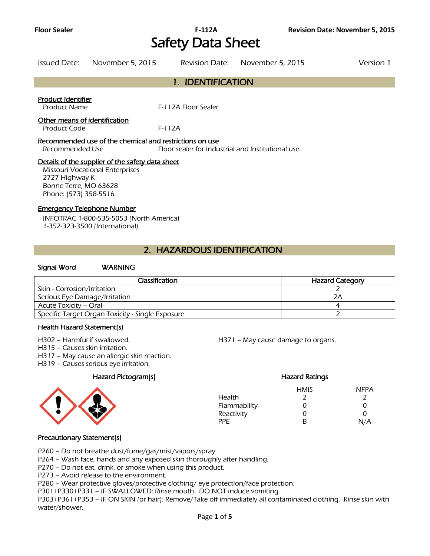# **Floor Sealer F-112A Revision Date: November 5, 2015**  Safety Data Sheet

| Issued Date:                                  | November 5, 2015                                                                           | Revision Date:                                     | November 5, 2015 | Version 1 |
|-----------------------------------------------|--------------------------------------------------------------------------------------------|----------------------------------------------------|------------------|-----------|
|                                               |                                                                                            | 1. IDENTIFICATION                                  |                  |           |
| Product Identifier<br><b>Product Name</b>     |                                                                                            | F-112A Floor Sealer                                |                  |           |
| Other means of identification<br>Product Code |                                                                                            | $F-112A$                                           |                  |           |
| Recommended Use                               | Recommended use of the chemical and restrictions on use                                    | Floor sealer for Industrial and Institutional use. |                  |           |
|                                               | Details of the supplier of the safety data sheet<br><b>Missouri Vocational Enterprises</b> |                                                    |                  |           |

2727 Highway K

Bonne Terre, MO 63628 Phone: (573) 358-5516

#### Emergency Telephone Number

INFOTRAC 1-800-535-5053 (North America) 1-352-323-3500 (International)

## 2. HAZARDOUS IDENTIFICATION

#### Signal Word WARNING

| <b>Classification</b>                            | <b>Hazard Category</b> |
|--------------------------------------------------|------------------------|
| Skin - Corrosion/Irritation                      |                        |
| Serious Eye Damage/Irritation                    |                        |
| Acute Toxicity – Oral                            |                        |
| Specific Target Organ Toxicity - Single Exposure |                        |
|                                                  |                        |

#### Health Hazard Statement(s)

H302 – Harmful if swallowed. H371 – May cause damage to organs.

H315 – Causes skin irritation.

H317 – May cause an allergic skin reaction.

H319 – Causes serious eye irritation.

#### Hazard Pictogram(s) Hazard Ratings



|              | <b>HMIS</b> | <b>NFPA</b> |
|--------------|-------------|-------------|
| Health       | 7           | 7           |
| Flammability | Ω           | 0           |
| Reactivity   | Ω           | 0           |
| PPF          | R           | N/A         |
|              |             |             |

#### Precautionary Statement(s)

P260 – Do not breathe dust/fume/gas/mist/vapors/spray.

P264 – Wash face, hands and any exposed skin thoroughly after handling.

P270 – Do not eat, drink, or smoke when using this product.

P273 – Avoid release to the environment.

P280 – Wear protective gloves/protective clothing/ eye protection/face protection.

P301+P330+P331 – IF SWALLOWED: Rinse mouth. DO NOT induce vomiting.

P303+P361+P353 – IF ON SKIN (or hair): Remove/Take off immediately all contaminated clothing. Rinse skin with water/shower.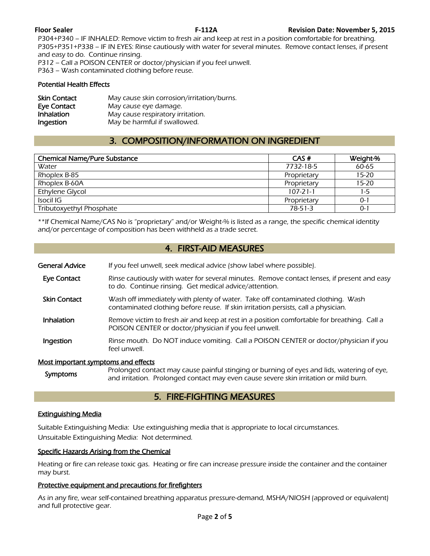P304+P340 – IF INHALED: Remove victim to fresh air and keep at rest in a position comfortable for breathing. P305+P351+P338 – IF IN EYES: Rinse cautiously with water for several minutes. Remove contact lenses, if present and easy to do. Continue rinsing. P312 – Call a POISON CENTER or doctor/physician if you feel unwell.

P363 – Wash contaminated clothing before reuse.

#### Potential Health Effects

| <b>Skin Contact</b> | May cause skin corrosion/irritation/burns. |
|---------------------|--------------------------------------------|
| Eye Contact         | May cause eye damage.                      |
| Inhalation          | May cause respiratory irritation.          |
| Ingestion           | May be harmful if swallowed.               |

## 3. COMPOSITION/INFORMATION ON INGREDIENT

| <b>Chemical Name/Pure Substance</b> | CAS#           | Weight-%  |
|-------------------------------------|----------------|-----------|
| Water                               | 7732-18-5      | 60-65     |
| Rhoplex B-85                        | Proprietary    | $15 - 20$ |
| Rhoplex B-60A                       | Proprietary    | $15 - 20$ |
| Ethylene Glycol                     | $107 - 21 - 1$ | 1-5       |
| Isocil IG                           | Proprietary    | 0-1       |
| Tributoxyethyl Phosphate            | $78-51-3$      | $0 - 1$   |
|                                     |                |           |

\*\*If Chemical Name/CAS No is "proprietary" and/or Weight-% is listed as a range, the specific chemical identity and/or percentage of composition has been withheld as a trade secret.

## 4. FIRST-AID MEASURES

- General Advice If you feel unwell, seek medical advice (show label where possible).
- Eye Contact Rinse cautiously with water for several minutes. Remove contact lenses, if present and easy to do. Continue rinsing. Get medical advice/attention.
- Skin Contact Wash off immediately with plenty of water. Take off contaminated clothing. Wash contaminated clothing before reuse. If skin irritation persists, call a physician.
- Inhalation Remove victim to fresh air and keep at rest in a position comfortable for breathing. Call a POISON CENTER or doctor/physician if you feel unwell.
- **Ingestion** Rinse mouth. Do NOT induce vomiting. Call a POISON CENTER or doctor/physician if you feel unwell.

#### Most important symptoms and effects

Symptoms Prolonged contact may cause painful stinging or burning of eyes and lids, watering of eye,<br>Symptoms and initation. Prolonged contact may such sause severe skip initation or mild burn and irritation. Prolonged contact may even cause severe skin irritation or mild burn.

## 5. FIRE-FIGHTING MEASURES

#### Extinguishing Media

Suitable Extinguishing Media: Use extinguishing media that is appropriate to local circumstances. Unsuitable Extinguishing Media: Not determined.

#### Specific Hazards Arising from the Chemical

Heating or fire can release toxic gas. Heating or fire can increase pressure inside the container and the container may burst.

#### Protective equipment and precautions for firefighters

As in any fire, wear self-contained breathing apparatus pressure-demand, MSHA/NIOSH (approved or equivalent) and full protective gear.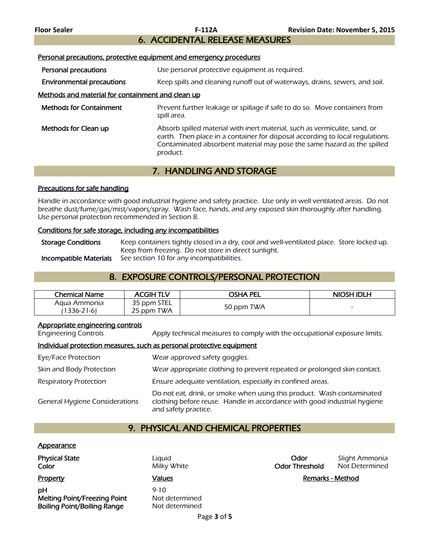## 6. ACCIDENTAL RELEASE MEASURES

#### Personal precautions, protective equipment and emergency procedures

**Personal precautions** Use personal protective equipment as required.

Environmental precautions Keep spills and cleaning runoff out of waterways, drains, sewers, and soil.

### Methods and material for containment and clean up

| <b>Methods for Containment</b> | Prevent further leakage or spillage if safe to do so. Move containers from<br>spill area. |
|--------------------------------|-------------------------------------------------------------------------------------------|
| Methods for Clean up           | Absorb spilled material with inert material such as vermiculite sand or                   |

**Methods for Clean up Absorb** spilled material with inert material, such as vermiculite, sand, or earth. Then place in a container for disposal according to local regulations. Contaminated absorbent material may pose the same hazard as the spilled product.

## 7. HANDLING AND STORAGE

#### Precautions for safe handling

Handle in accordance with good industrial hygiene and safety practice. Use only in well ventilated areas. Do not breathe dust/fume/gas/mist/vapors/spray. Wash face, hands, and any exposed skin thoroughly after handling. Use personal protection recommended in Section 8.

#### Conditions for safe storage, including any incompatibilities

Storage Conditions Keep containers tightly closed in a dry, cool and well-ventilated place. Store locked up. Keep from freezing. Do not store in direct sunlight. **Incompatible Materials** See section 10 for any incompatibilities.

## 8. EXPOSURE CONTROLS/PERSONAL PROTECTION

| Chemical Name   | <b>ACGIH TLV</b> | OSHA PEL   | <b>NIOSH IDLH</b> |
|-----------------|------------------|------------|-------------------|
| Aaua Ammonia    | 35 ppm STEL      |            |                   |
| $1336 - 21 - 6$ | 25 ppm TWA       | 50 ppm TWA |                   |

#### Appropriate engineering controls

Engineering Controls Apply technical measures to comply with the occupational exposure limits.

#### Individual protection measures, such as personal protective equipment

| Eye/Face Protection                   | Wear approved safety goggles.                                                                                                                                              |
|---------------------------------------|----------------------------------------------------------------------------------------------------------------------------------------------------------------------------|
| Skin and Body Protection              | Wear appropriate clothing to prevent repeated or prolonged skin contact.                                                                                                   |
| <b>Respiratory Protection</b>         | Ensure adequate ventilation, especially in confined areas.                                                                                                                 |
| <b>General Hygiene Considerations</b> | Do not eat, drink, or smoke when using this product. Wash contaminated<br>clothing before reuse. Handle in accordance with good industrial hygiene<br>and safety practice. |

## 9. PHYSICAL AND CHEMICAL PROPERTIES

#### **Appearance**

**pH** 9-10 Melting Point/Freezing Point Not determined Boiling Point/Boiling Range Not determined

**Physical State Contract Contract Contract Contract Contract Contract Contract Contract Contract Contract Contract Contract Contract Contract Contract Contract Contract Contract Contract Contract Contract Contract Contra Color Milky White Color Threshold** Not Determined

Property **Example 2** Values **Values Values Remarks - Method**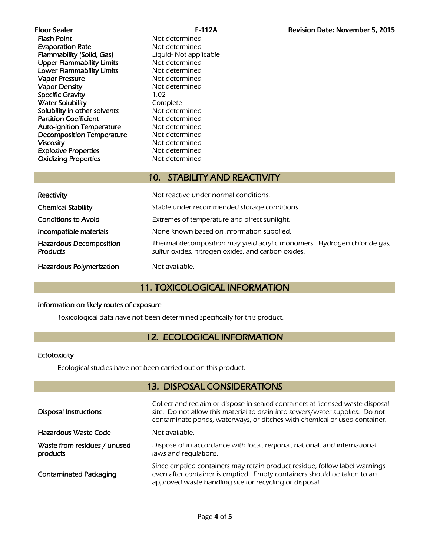| Floor Sealer                     |            |
|----------------------------------|------------|
| Flash Point                      | Not        |
| <b>Evaporation Rate</b>          | Not        |
| <b>Flammability (Solid, Gas)</b> | Liqu       |
| <b>Upper Flammability Limits</b> | Not        |
| <b>Lower Flammability Limits</b> | Not        |
| Vapor Pressure                   | <b>Not</b> |
| <b>Vapor Density</b>             | Not        |
| <b>Specific Gravity</b>          | 1.02       |
| <b>Water Solubility</b>          | Com        |
| Solubility in other solvents     | Not        |
| <b>Partition Coefficient</b>     | Not        |
| <b>Auto-ignition Temperature</b> | Not        |
| <b>Decomposition Temperature</b> | Not        |
| <b>Viscosity</b>                 | Not        |
| <b>Explosive Properties</b>      | Not        |
| <b>Oxidizing Properties</b>      | Not        |
|                                  |            |

Not determined Not determined Liquid- Not applicable Not determined Not determined Not determined Not determined Complete Not determined Not determined Not determined Not determined Not determined Not determined Not determined

## 10. STABILITY AND REACTIVITY

| Reactivity                                        | Not reactive under normal conditions.                                                                                          |
|---------------------------------------------------|--------------------------------------------------------------------------------------------------------------------------------|
| <b>Chemical Stability</b>                         | Stable under recommended storage conditions.                                                                                   |
| <b>Conditions to Avoid</b>                        | Extremes of temperature and direct sunlight.                                                                                   |
| Incompatible materials                            | None known based on information supplied.                                                                                      |
| <b>Hazardous Decomposition</b><br><b>Products</b> | Thermal decomposition may yield acrylic monomers. Hydrogen chloride gas,<br>sulfur oxides, nitrogen oxides, and carbon oxides. |
| <b>Hazardous Polymerization</b>                   | Not available.                                                                                                                 |

## 11. TOXICOLOGICAL INFORMATION

#### Information on likely routes of exposure

Toxicological data have not been determined specifically for this product.

## 12. ECOLOGICAL INFORMATION

### **Ectotoxicity**

Ecological studies have not been carried out on this product.

## 13. DISPOSAL CONSIDERATIONS

| <b>Disposal Instructions</b>             | Collect and reclaim or dispose in sealed containers at licensed waste disposal<br>site. Do not allow this material to drain into sewers/water supplies. Do not<br>contaminate ponds, waterways, or ditches with chemical or used container. |
|------------------------------------------|---------------------------------------------------------------------------------------------------------------------------------------------------------------------------------------------------------------------------------------------|
| Hazardous Waste Code                     | Not available.                                                                                                                                                                                                                              |
| Waste from residues / unused<br>products | Dispose of in accordance with local, regional, national, and international<br>laws and regulations.                                                                                                                                         |
| <b>Contaminated Packaging</b>            | Since emptied containers may retain product residue, follow label warnings<br>even after container is emptied. Empty containers should be taken to an<br>approved waste handling site for recycling or disposal.                            |